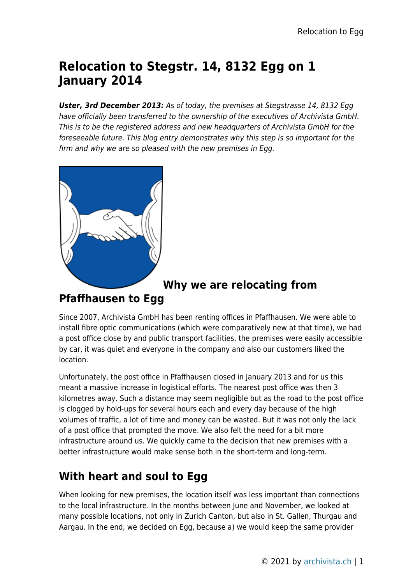# **Relocation to Stegstr. 14, 8132 Egg on 1 January 2014**

*Uster, 3rd December 2013:* As of today, the premises at Stegstrasse 14, 8132 Egg have officially been transferred to the ownership of the executives of Archivista GmbH. This is to be the registered address and new headquarters of Archivista GmbH for the foreseeable future. This blog entry demonstrates why this step is so important for the firm and why we are so pleased with the new premises in Egg.



## **Why we are relocating from**

#### **Pfaffhausen to Egg**

Since 2007, Archivista GmbH has been renting offices in Pfaffhausen. We were able to install fibre optic communications (which were comparatively new at that time), we had a post office close by and public transport facilities, the premises were easily accessible by car, it was quiet and everyone in the company and also our customers liked the location.

Unfortunately, the post office in Pfaffhausen closed in January 2013 and for us this meant a massive increase in logistical efforts. The nearest post office was then 3 kilometres away. Such a distance may seem negligible but as the road to the post office is clogged by hold-ups for several hours each and every day because of the high volumes of traffic, a lot of time and money can be wasted. But it was not only the lack of a post office that prompted the move. We also felt the need for a bit more infrastructure around us. We quickly came to the decision that new premises with a better infrastructure would make sense both in the short-term and long-term.

## **With heart and soul to Egg**

When looking for new premises, the location itself was less important than connections to the local infrastructure. In the months between June and November, we looked at many possible locations, not only in Zurich Canton, but also in St. Gallen, Thurgau and Aargau. In the end, we decided on Egg, because a) we would keep the same provider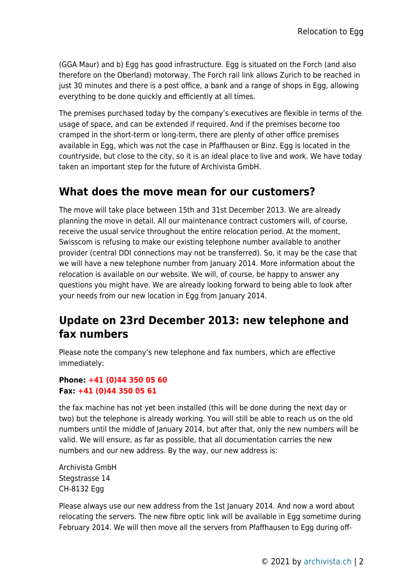(GGA Maur) and b) Egg has good infrastructure. Egg is situated on the Forch (and also therefore on the Oberland) motorway. The Forch rail link allows Zurich to be reached in just 30 minutes and there is a post office, a bank and a range of shops in Egg, allowing everything to be done quickly and efficiently at all times.

The premises purchased today by the company's executives are flexible in terms of the usage of space, and can be extended if required. And if the premises become too cramped in the short-term or long-term, there are plenty of other office premises available in Egg, which was not the case in Pfaffhausen or Binz. Egg is located in the countryside, but close to the city, so it is an ideal place to live and work. We have today taken an important step for the future of Archivista GmbH.

### **What does the move mean for our customers?**

The move will take place between 15th and 31st December 2013. We are already planning the move in detail. All our maintenance contract customers will, of course, receive the usual service throughout the entire relocation period. At the moment, Swisscom is refusing to make our existing telephone number available to another provider (central DDI connections may not be transferred). So, it may be the case that we will have a new telephone number from January 2014. More information about the relocation is available on our website. We will, of course, be happy to answer any questions you might have. We are already looking forward to being able to look after your needs from our new location in Egg from January 2014.

## **Update on 23rd December 2013: new telephone and fax numbers**

Please note the company's new telephone and fax numbers, which are effective immediately:

#### **Phone: +41 (0)44 350 05 60 Fax: +41 (0)44 350 05 61**

the fax machine has not yet been installed (this will be done during the next day or two) but the telephone is already working. You will still be able to reach us on the old numbers until the middle of January 2014, but after that, only the new numbers will be valid. We will ensure, as far as possible, that all documentation carries the new numbers and our new address. By the way, our new address is:

Archivista GmbH Stegstrasse 14 CH-8132 Egg

Please always use our new address from the 1st January 2014. And now a word about relocating the servers. The new fibre optic link will be available in Egg sometime during February 2014. We will then move all the servers from Pfaffhausen to Egg during off